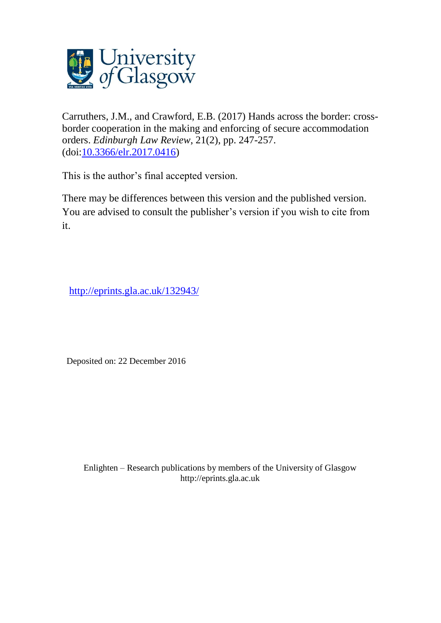

Carruthers, J.M., and Crawford, E.B. (2017) Hands across the border: crossborder cooperation in the making and enforcing of secure accommodation orders. *Edinburgh Law Review*, 21(2), pp. 247-257. (doi[:10.3366/elr.2017.0416\)](http://dx.doi.org/10.3366/elr.2017.0416)

This is the author's final accepted version.

There may be differences between this version and the published version. You are advised to consult the publisher's version if you wish to cite from it.

<http://eprints.gla.ac.uk/132943/>

Deposited on: 22 December 2016

Enlighten – Research publications by members of the University of Glasgo[w](http://eprints.gla.ac.uk/) [http://eprints.gla.ac.uk](http://eprints.gla.ac.uk/)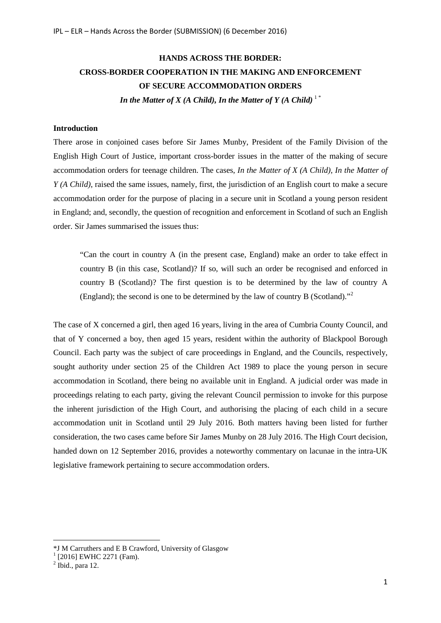# **HANDS ACROSS THE BORDER: CROSS-BORDER COOPERATION IN THE MAKING AND ENFORCEMENT OF SECURE ACCOMMODATION ORDERS**

*In the Matter of X (A Child), In the Matter of Y (A Child)*  $1^*$  $1^*$ 

# **Introduction**

There arose in conjoined cases before Sir James Munby, President of the Family Division of the English High Court of Justice, important cross-border issues in the matter of the making of secure accommodation orders for teenage children. The cases, *In the Matter of X (A Child), In the Matter of Y* (*A Child*), raised the same issues, namely, first, the jurisdiction of an English court to make a secure accommodation order for the purpose of placing in a secure unit in Scotland a young person resident in England; and, secondly, the question of recognition and enforcement in Scotland of such an English order. Sir James summarised the issues thus:

"Can the court in country A (in the present case, England) make an order to take effect in country B (in this case, Scotland)? If so, will such an order be recognised and enforced in country B (Scotland)? The first question is to be determined by the law of country A (England); the second is one to be determined by the law of country B (Scotland)."[2](#page-1-1)

The case of X concerned a girl, then aged 16 years, living in the area of Cumbria County Council, and that of Y concerned a boy, then aged 15 years, resident within the authority of Blackpool Borough Council. Each party was the subject of care proceedings in England, and the Councils, respectively, sought authority under section 25 of the Children Act 1989 to place the young person in secure accommodation in Scotland, there being no available unit in England. A judicial order was made in proceedings relating to each party, giving the relevant Council permission to invoke for this purpose the inherent jurisdiction of the High Court, and authorising the placing of each child in a secure accommodation unit in Scotland until 29 July 2016. Both matters having been listed for further consideration, the two cases came before Sir James Munby on 28 July 2016. The High Court decision, handed down on 12 September 2016, provides a noteworthy commentary on lacunae in the intra-UK legislative framework pertaining to secure accommodation orders.

**.** 

<sup>\*</sup>J M Carruthers and E B Crawford, University of Glasgow

<span id="page-1-0"></span> $\frac{1}{2}$ [2016] EWHC 2271 (Fam).<br> $\frac{2}{2}$  Ibid., para 12.

<span id="page-1-1"></span>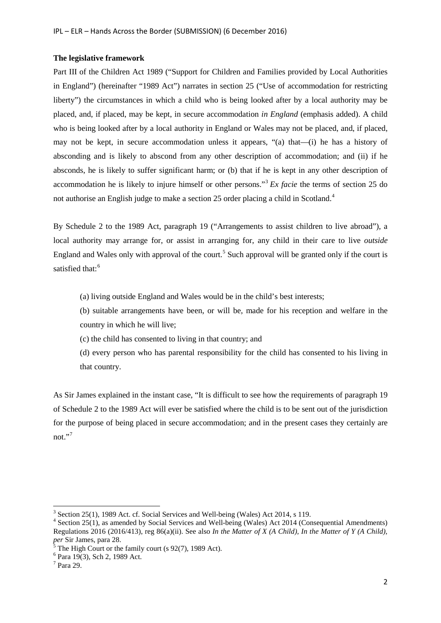## **The legislative framework**

Part III of the Children Act 1989 ("Support for Children and Families provided by Local Authorities in England") (hereinafter "1989 Act") narrates in section 25 ("Use of accommodation for restricting liberty") the circumstances in which a child who is being looked after by a local authority may be placed, and, if placed, may be kept, in secure accommodation *in England* (emphasis added). A child who is being looked after by a local authority in England or Wales may not be placed, and, if placed, may not be kept, in secure accommodation unless it appears, "(a) that—(i) he has a history of absconding and is likely to abscond from any other description of accommodation; and (ii) if he absconds, he is likely to suffer significant harm; or (b) that if he is kept in any other description of accommodation he is likely to injure himself or other persons."[3](#page-2-0) *Ex facie* the terms of section 25 do not authorise an English judge to make a section 25 order placing a child in Scotland.<sup>[4](#page-2-1)</sup>

By Schedule 2 to the 1989 Act, paragraph 19 ("Arrangements to assist children to live abroad"), a local authority may arrange for, or assist in arranging for, any child in their care to live *outside* England and Wales only with approval of the court.<sup>[5](#page-2-2)</sup> Such approval will be granted only if the court is satisfied that:<sup>[6](#page-2-3)</sup>

(a) living outside England and Wales would be in the child's best interests;

(b) suitable arrangements have been, or will be, made for his reception and welfare in the country in which he will live;

(c) the child has consented to living in that country; and

(d) every person who has parental responsibility for the child has consented to his living in that country.

As Sir James explained in the instant case, "It is difficult to see how the requirements of paragraph 19 of Schedule 2 to the 1989 Act will ever be satisfied where the child is to be sent out of the jurisdiction for the purpose of being placed in secure accommodation; and in the present cases they certainly are not." $7$ 

<span id="page-2-1"></span><span id="page-2-0"></span><sup>&</sup>lt;sup>3</sup> Section 25(1), 1989 Act. cf. Social Services and Well-being (Wales) Act 2014, s 119.<br><sup>4</sup> Section 25(1), as amended by Social Services and Well-being (Wales) Act 2014 (Consequential Amendments) Regulations 2016 (2016/413), reg 86(a)(ii). See also *In the Matter of X (A Child), In the Matter of Y (A Child)*,

<span id="page-2-3"></span><span id="page-2-2"></span><sup>&</sup>lt;sup>5</sup> The High Court or the family court (s 92(7), 1989 Act).<br>
<sup>6</sup> Para 19(3), Sch 2, 1989 Act.<br>
<sup>7</sup> Para 29.

<span id="page-2-4"></span>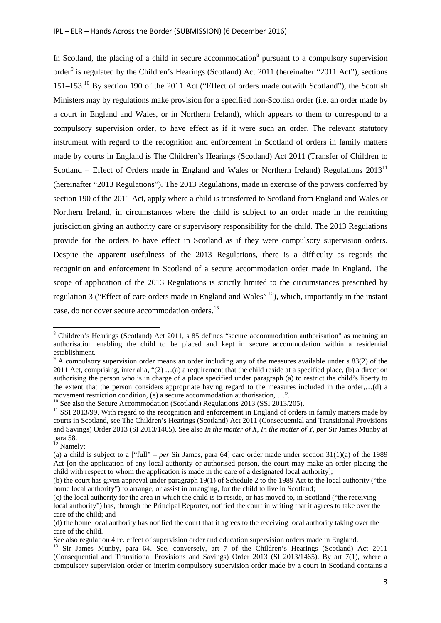In Scotland, the placing of a child in secure accommodation<sup>[8](#page-3-0)</sup> pursuant to a compulsory supervision order<sup>[9](#page-3-1)</sup> is regulated by the Children's Hearings (Scotland) Act 2011 (hereinafter "2011 Act"), sections 151–153.<sup>[10](#page-3-2)</sup> By section 190 of the 2011 Act ("Effect of orders made outwith Scotland"), the Scottish Ministers may by regulations make provision for a specified non-Scottish order (i.e. an order made by a court in England and Wales, or in Northern Ireland), which appears to them to correspond to a compulsory supervision order, to have effect as if it were such an order. The relevant statutory instrument with regard to the recognition and enforcement in Scotland of orders in family matters made by courts in England is The Children's Hearings (Scotland) Act 2011 (Transfer of Children to Scotland – Effect of Orders made in England and Wales or Northern Ireland) Regulations 2013<sup>[11](#page-3-3)</sup> (hereinafter "2013 Regulations"). The 2013 Regulations, made in exercise of the powers conferred by section 190 of the 2011 Act, apply where a child is transferred to Scotland from England and Wales or Northern Ireland, in circumstances where the child is subject to an order made in the remitting jurisdiction giving an authority care or supervisory responsibility for the child. The 2013 Regulations provide for the orders to have effect in Scotland as if they were compulsory supervision orders. Despite the apparent usefulness of the 2013 Regulations, there is a difficulty as regards the recognition and enforcement in Scotland of a secure accommodation order made in England. The scope of application of the 2013 Regulations is strictly limited to the circumstances prescribed by regulation 3 ("Effect of care orders made in England and Wales" [12\)](#page-3-4), which, importantly in the instant case, do not cover secure accommodation orders.<sup>[13](#page-3-5)</sup>

<span id="page-3-0"></span><sup>8</sup> Children's Hearings (Scotland) Act 2011, s 85 defines "secure accommodation authorisation" as meaning an authorisation enabling the child to be placed and kept in secure accommodation within a residential

<span id="page-3-1"></span> $\frac{9}{9}$  A compulsory supervision order means an order including any of the measures available under s 83(2) of the 2011 Act, comprising, inter alia, "(2) …(a) a requirement that the child reside at a specified place, (b) a direction authorising the person who is in charge of a place specified under paragraph (a) to restrict the child's liberty to the extent that the person considers appropriate having regard to the measures included in the order,…(d) a movement restriction condition, (e) a secure accommodation authorisation, ...".<br><sup>10</sup> See also the Secure Accommodation (Scotland) Regulations 2013 (SSI 2013/205).

<span id="page-3-3"></span><span id="page-3-2"></span> $11$  SSI 2013/99. With regard to the recognition and enforcement in England of orders in family matters made by courts in Scotland, see The Children's Hearings (Scotland) Act 2011 (Consequential and Transitional Provisions and Savings) Order 2013 (SI 2013/1465). See also *In the matter of X, In the matter of Y*, *per* Sir James Munby at para 58.

 $12$  Namely:

<span id="page-3-4"></span><sup>(</sup>a) a child is subject to a ["full" – *per* Sir James, para 64] care order made under section 31(1)(a) of the 1989 Act [on the application of any local authority or authorised person, the court may make an order placing the child with respect to whom the application is made in the care of a designated local authority];

<sup>(</sup>b) the court has given approval under paragraph 19(1) of Schedule 2 to the 1989 Act to the local authority ("the home local authority") to arrange, or assist in arranging, for the child to live in Scotland;

<sup>(</sup>c) the local authority for the area in which the child is to reside, or has moved to, in Scotland ("the receiving local authority") has, through the Principal Reporter, notified the court in writing that it agrees to take over the care of the child; and

<sup>(</sup>d) the home local authority has notified the court that it agrees to the receiving local authority taking over the care of the child.

See also regulation 4 re. effect of supervision order and education supervision orders made in England.

<span id="page-3-5"></span><sup>&</sup>lt;sup>13</sup> Sir James Munby, para 64. See, conversely, art 7 of the Children's Hearings (Scotland) Act 2011 (Consequential and Transitional Provisions and Savings) Order 2013 (SI 2013/1465). By art 7(1), where a compulsory supervision order or interim compulsory supervision order made by a court in Scotland contains a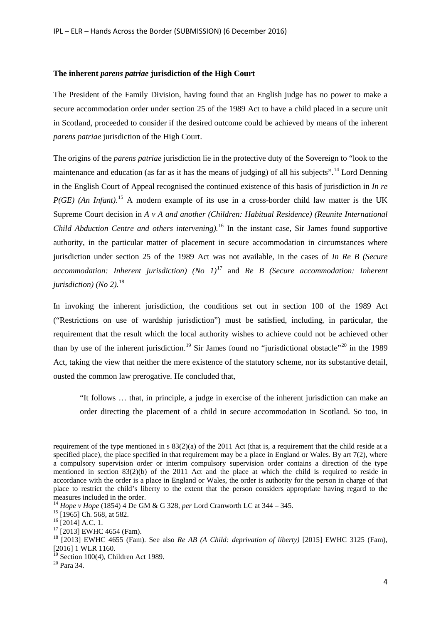### **The inherent** *parens patriae* **jurisdiction of the High Court**

The President of the Family Division, having found that an English judge has no power to make a secure accommodation order under section 25 of the 1989 Act to have a child placed in a secure unit in Scotland, proceeded to consider if the desired outcome could be achieved by means of the inherent *parens patriae* jurisdiction of the High Court.

The origins of the *parens patriae* jurisdiction lie in the protective duty of the Sovereign to "look to the maintenance and education (as far as it has the means of judging) of all his subjects".<sup>[14](#page-4-0)</sup> Lord Denning in the English Court of Appeal recognised the continued existence of this basis of jurisdiction in *In re P(GE) (An Infant)*. [15](#page-4-1) A modern example of its use in a cross-border child law matter is the UK Supreme Court decision in *A v A and another (Children: Habitual Residence) (Reunite International Child Abduction Centre and others intervening).* [16](#page-4-2) In the instant case, Sir James found supportive authority, in the particular matter of placement in secure accommodation in circumstances where jurisdiction under section 25 of the 1989 Act was not available, in the cases of *In Re B (Secure accommodation: Inherent jurisdiction) (No 1)*[17](#page-4-3) and *Re B (Secure accommodation: Inherent jurisdiction) (No 2)*. [18](#page-4-4)

In invoking the inherent jurisdiction, the conditions set out in section 100 of the 1989 Act ("Restrictions on use of wardship jurisdiction") must be satisfied, including, in particular, the requirement that the result which the local authority wishes to achieve could not be achieved other than by use of the inherent jurisdiction.<sup>[19](#page-4-5)</sup> Sir James found no "jurisdictional obstacle"<sup>[20](#page-4-6)</sup> in the 1989 Act, taking the view that neither the mere existence of the statutory scheme, nor its substantive detail, ousted the common law prerogative. He concluded that,

"It follows … that, in principle, a judge in exercise of the inherent jurisdiction can make an order directing the placement of a child in secure accommodation in Scotland. So too, in

**.** 

requirement of the type mentioned in s  $83(2)(a)$  of the 2011 Act (that is, a requirement that the child reside at a specified place), the place specified in that requirement may be a place in England or Wales. By art 7(2), where a compulsory supervision order or interim compulsory supervision order contains a direction of the type mentioned in section 83(2)(b) of the 2011 Act and the place at which the child is required to reside in accordance with the order is a place in England or Wales, the order is authority for the person in charge of that place to restrict the child's liberty to the extent that the person considers appropriate having regard to the measures included in the order.<br><sup>14</sup> Hope v Hope (1854) 4 De GM & G 328, per Lord Cranworth LC at 344 – 345.

<span id="page-4-2"></span>

<span id="page-4-4"></span><span id="page-4-3"></span>

<span id="page-4-1"></span><span id="page-4-0"></span><sup>16 [1965]</sup> Ch. 568, at 582.<br>
<sup>16</sup> [2014] A.C. 1.<br>
<sup>17</sup> [2013] EWHC 4654 (Fam).<br>
<sup>18</sup> [2013] EWHC 4655 (Fam). See also *Re AB (A Child: deprivation of liberty)* [2015] EWHC 3125 (Fam),<br>
<sup>18</sup> [2013] EWHC 4655 (Fam). See also [2016] 1 WLR 1160.<br><sup>19</sup> Section 100(4), Children Act 1989.<br><sup>20</sup> Para 34.

<span id="page-4-5"></span>

<span id="page-4-6"></span>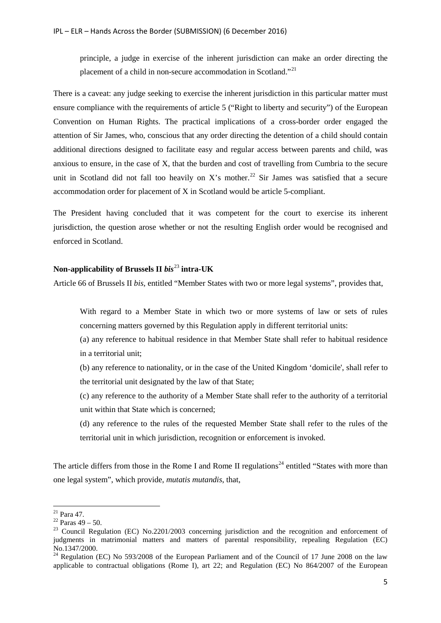principle, a judge in exercise of the inherent jurisdiction can make an order directing the placement of a child in non-secure accommodation in Scotland."[21](#page-5-0)

There is a caveat: any judge seeking to exercise the inherent jurisdiction in this particular matter must ensure compliance with the requirements of article 5 ("Right to liberty and security") of the European Convention on Human Rights. The practical implications of a cross-border order engaged the attention of Sir James, who, conscious that any order directing the detention of a child should contain additional directions designed to facilitate easy and regular access between parents and child, was anxious to ensure, in the case of X, that the burden and cost of travelling from Cumbria to the secure unit in Scotland did not fall too heavily on X's mother.<sup>[22](#page-5-1)</sup> Sir James was satisfied that a secure accommodation order for placement of X in Scotland would be article 5-compliant.

The President having concluded that it was competent for the court to exercise its inherent jurisdiction, the question arose whether or not the resulting English order would be recognised and enforced in Scotland.

# **Non-applicability of Brussels II** *bis*[23](#page-5-2) **intra-UK**

Article 66 of Brussels II *bis,* entitled "Member States with two or more legal systems", provides that,

With regard to a Member State in which two or more systems of law or sets of rules concerning matters governed by this Regulation apply in different territorial units:

(a) any reference to habitual residence in that Member State shall refer to habitual residence in a territorial unit;

(b) any reference to nationality, or in the case of the United Kingdom 'domicile', shall refer to the territorial unit designated by the law of that State;

(c) any reference to the authority of a Member State shall refer to the authority of a territorial unit within that State which is concerned;

(d) any reference to the rules of the requested Member State shall refer to the rules of the territorial unit in which jurisdiction, recognition or enforcement is invoked.

The article differs from those in the Rome I and Rome II regulations<sup>[24](#page-5-3)</sup> entitled "States with more than one legal system", which provide, *mutatis mutandis*, that,

<span id="page-5-2"></span><span id="page-5-1"></span>

<span id="page-5-0"></span><sup>&</sup>lt;sup>21</sup> Para 47.<br><sup>22</sup> Paras 49 – 50.<br><sup>23</sup> Council Regulation (EC) No.2201/2003 concerning jurisdiction and the recognition and enforcement of judgments in matrimonial matters and matters of parental responsibility, repealing Regulation (EC) No.1347/2000.<br><sup>24</sup> Regulation (EC) No 593/2008 of the European Parliament and of the Council of 17 June 2008 on the law

<span id="page-5-3"></span>applicable to contractual obligations (Rome I), art 22; and Regulation (EC) No 864/2007 of the European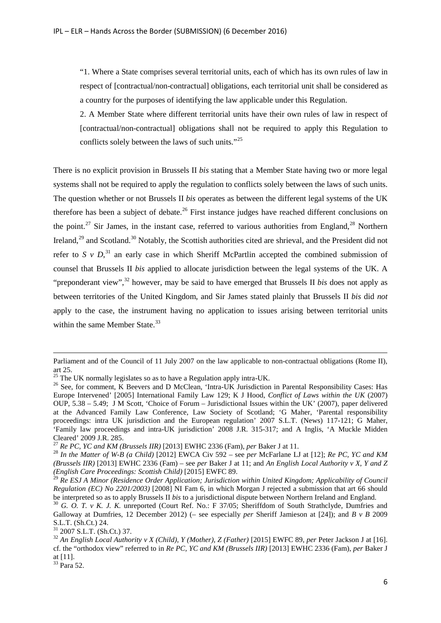"1. Where a State comprises several territorial units, each of which has its own rules of law in respect of [contractual/non-contractual] obligations, each territorial unit shall be considered as a country for the purposes of identifying the law applicable under this Regulation.

2. A Member State where different territorial units have their own rules of law in respect of [contractual/non-contractual] obligations shall not be required to apply this Regulation to conflicts solely between the laws of such units."[25](#page-6-0)

There is no explicit provision in Brussels II *bis* stating that a Member State having two or more legal systems shall not be required to apply the regulation to conflicts solely between the laws of such units. The question whether or not Brussels II *bis* operates as between the different legal systems of the UK therefore has been a subject of debate.<sup>[26](#page-6-1)</sup> First instance judges have reached different conclusions on the point.<sup>[27](#page-6-2)</sup> Sir James, in the instant case, referred to various authorities from England,<sup>[28](#page-6-3)</sup> Northern Ireland,<sup>[29](#page-6-4)</sup> and Scotland.<sup>[30](#page-6-5)</sup> Notably, the Scottish authorities cited are shrieval, and the President did not refer to  $S \vee D$ ,<sup>[31](#page-6-6)</sup> an early case in which Sheriff McPartlin accepted the combined submission of counsel that Brussels II *bis* applied to allocate jurisdiction between the legal systems of the UK. A "preponderant view",<sup>[32](#page-6-7)</sup> however, may be said to have emerged that Brussels II *bis* does not apply as between territories of the United Kingdom, and Sir James stated plainly that Brussels II *bis* did *not* apply to the case, the instrument having no application to issues arising between territorial units within the same Member State.<sup>[33](#page-6-8)</sup>

**.** 

Parliament and of the Council of 11 July 2007 on the law applicable to non-contractual obligations (Rome II), art 25.<br>
<sup>25</sup> The UK normally legislates so as to have a Regulation apply intra-UK.

<span id="page-6-1"></span><span id="page-6-0"></span><sup>&</sup>lt;sup>26</sup> See, for comment, K Beevers and D McClean, 'Intra-UK Jurisdiction in Parental Responsibility Cases: Has Europe Intervened' [2005] International Family Law 129; K J Hood, *Conflict of Laws within the UK* (2007) OUP, 5.38 – 5.49; J M Scott, 'Choice of Forum – Jurisdictional Issues within the UK' (2007), paper delivered at the Advanced Family Law Conference, Law Society of Scotland; 'G Maher, 'Parental responsibility proceedings: intra UK jurisdiction and the European regulation' 2007 S.L.T. (News) 117-121; G Maher, 'Family law proceedings and intra-UK jurisdiction' 2008 J.R. 315-317; and A Inglis, 'A Muckle Midden

<span id="page-6-3"></span><span id="page-6-2"></span>

Cleared' 2009 J.R. 285.<br><sup>27</sup> Re PC, YC and KM (Brussels IIR) [2013] EWHC 2336 (Fam), per Baker J at 11.<br><sup>28</sup> In the Matter of W-B (a Child) [2012] EWCA Civ 592 – see per McFarlane LJ at [12]; Re PC, YC and KM *(Brussels IIR)* [2013] EWHC 2336 (Fam) – see *per* Baker J at 11; and *An English Local Authority v X, Y and Z (English Care Proceedings: Scottish Child)* [2015] EWFC 89.

<span id="page-6-4"></span><sup>&</sup>lt;sup>29</sup> Re ESJ A Minor (Residence Order Application; Jurisdiction within United Kingdom; Applicability of Council *Regulation (EC) No 2201/2003)* [2008] NI Fam 6, in which Morgan J rejected a submission that art 66 should be interpreted so as to apply Brussels II *bis* to a jurisdictional dispute between Northern Ireland and England.

<span id="page-6-5"></span> $30$  G. O. T. v K. J. K. unreported (Court Ref. No.: F 37/05; Sheriffdom of South Strathclyde, Dumfries and Galloway at Dumfries, 12 December 2012) (– see especially *per* Sheriff Jamieson at [24]); and *B v B* 2009 S.L.T. (Sh.Ct.) 24. <sup>31</sup> 2007 S.L.T. (Sh.Ct.) 37. <sup>32</sup> *An English Local Authority v X (Child), Y (Mother), Z (Father)* [2015] EWFC 89, *per* Peter Jackson J at [16].

<span id="page-6-6"></span>

<span id="page-6-7"></span>cf. the "orthodox view" referred to in *Re PC, YC and KM (Brussels IIR)* [2013] EWHC 2336 (Fam), *per* Baker J at [11].<br> $\frac{33}{33}$  Para 52.

<span id="page-6-8"></span>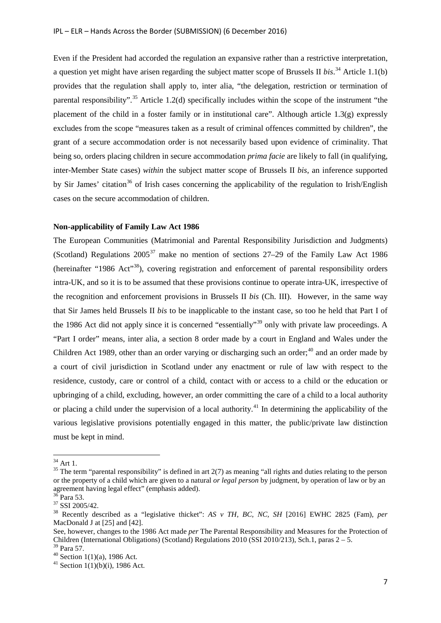Even if the President had accorded the regulation an expansive rather than a restrictive interpretation, a question yet might have arisen regarding the subject matter scope of Brussels II *bis*. [34](#page-7-0) Article 1.1(b) provides that the regulation shall apply to, inter alia, "the delegation, restriction or termination of parental responsibility".<sup>[35](#page-7-1)</sup> Article 1.2(d) specifically includes within the scope of the instrument "the placement of the child in a foster family or in institutional care". Although article 1.3(g) expressly excludes from the scope "measures taken as a result of criminal offences committed by children", the grant of a secure accommodation order is not necessarily based upon evidence of criminality. That being so, orders placing children in secure accommodation *prima facie* are likely to fall (in qualifying, inter-Member State cases) *within* the subject matter scope of Brussels II *bis*, an inference supported by Sir James' citation<sup>[36](#page-7-2)</sup> of Irish cases concerning the applicability of the regulation to Irish/English cases on the secure accommodation of children.

## **Non-applicability of Family Law Act 1986**

The European Communities (Matrimonial and Parental Responsibility Jurisdiction and Judgments) (Scotland) Regulations  $2005^{37}$  $2005^{37}$  $2005^{37}$  make no mention of sections 27–29 of the Family Law Act 1986 (hereinafter "1986 Act"[38\)](#page-7-4), covering registration and enforcement of parental responsibility orders intra-UK, and so it is to be assumed that these provisions continue to operate intra-UK, irrespective of the recognition and enforcement provisions in Brussels II *bis* (Ch. III). However, in the same way that Sir James held Brussels II *bis* to be inapplicable to the instant case, so too he held that Part I of the 1986 Act did not apply since it is concerned "essentially"<sup>[39](#page-7-5)</sup> only with private law proceedings. A "Part I order" means, inter alia, a section 8 order made by a court in England and Wales under the Children Act 1989, other than an order varying or discharging such an order;<sup>[40](#page-7-6)</sup> and an order made by a court of civil jurisdiction in Scotland under any enactment or rule of law with respect to the residence, custody, care or control of a child, contact with or access to a child or the education or upbringing of a child, excluding, however, an order committing the care of a child to a local authority or placing a child under the supervision of a local authority.<sup>[41](#page-7-7)</sup> In determining the applicability of the various legislative provisions potentially engaged in this matter, the public/private law distinction must be kept in mind.

<span id="page-7-1"></span><span id="page-7-0"></span><sup>&</sup>lt;sup>34</sup> Art 1.<br><sup>35</sup> The term "parental responsibility" is defined in art 2(7) as meaning "all rights and duties relating to the person or the property of a child which are given to a natural *or legal person* by judgment, by operation of law or by an agreement having legal effect" (emphasis added).<br><sup>36</sup> Para 53.<br><sup>37</sup> SSI 2005/42.<br><sup>38</sup> Recently described as a "legislative thicket": *AS v TH, BC, NC, SH* [2016] EWHC 2825 (Fam), *per* 

<span id="page-7-2"></span>

<span id="page-7-3"></span>

<span id="page-7-4"></span>MacDonald J at [25] and [42].

See, however, changes to the 1986 Act made *per* The Parental Responsibility and Measures for the Protection of Children (International Obligations) (Scotland) Regulations 2010 (SSI 2010/213), Sch.1, paras  $2-5$ .<br><sup>39</sup> Para 57.

<span id="page-7-7"></span><span id="page-7-6"></span><span id="page-7-5"></span><sup>&</sup>lt;sup>40</sup> Section 1(1)(a), 1986 Act. <sup>41</sup> Section 1(1)(b)(i), 1986 Act.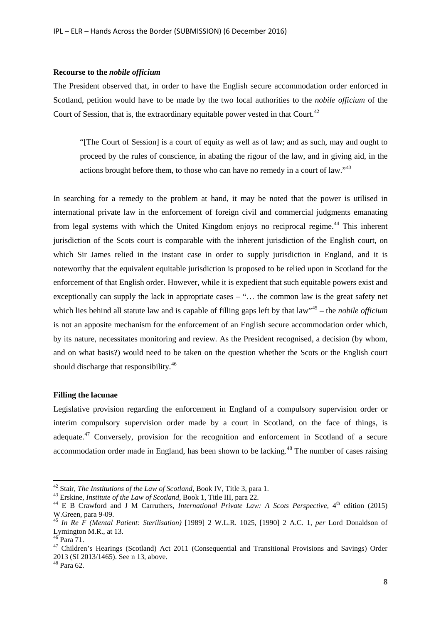#### **Recourse to the** *nobile officium*

The President observed that, in order to have the English secure accommodation order enforced in Scotland, petition would have to be made by the two local authorities to the *nobile officium* of the Court of Session, that is, the extraordinary equitable power vested in that Court.<sup>[42](#page-8-0)</sup>

"[The Court of Session] is a court of equity as well as of law; and as such, may and ought to proceed by the rules of conscience, in abating the rigour of the law, and in giving aid, in the actions brought before them, to those who can have no remedy in a court of law."[43](#page-8-1)

In searching for a remedy to the problem at hand, it may be noted that the power is utilised in international private law in the enforcement of foreign civil and commercial judgments emanating from legal systems with which the United Kingdom enjoys no reciprocal regime.<sup>[44](#page-8-2)</sup> This inherent jurisdiction of the Scots court is comparable with the inherent jurisdiction of the English court, on which Sir James relied in the instant case in order to supply jurisdiction in England, and it is noteworthy that the equivalent equitable jurisdiction is proposed to be relied upon in Scotland for the enforcement of that English order. However, while it is expedient that such equitable powers exist and exceptionally can supply the lack in appropriate cases – "… the common law is the great safety net which lies behind all statute law and is capable of filling gaps left by that law<sup>1[45](#page-8-3)</sup> – the *nobile officium* is not an apposite mechanism for the enforcement of an English secure accommodation order which, by its nature, necessitates monitoring and review. As the President recognised, a decision (by whom, and on what basis?) would need to be taken on the question whether the Scots or the English court should discharge that responsibility.<sup>[46](#page-8-4)</sup>

# **Filling the lacunae**

Legislative provision regarding the enforcement in England of a compulsory supervision order or interim compulsory supervision order made by a court in Scotland, on the face of things, is adequate.<sup>[47](#page-8-5)</sup> Conversely, provision for the recognition and enforcement in Scotland of a secure accommodation order made in England, has been shown to be lacking.<sup>[48](#page-8-6)</sup> The number of cases raising

<span id="page-8-1"></span><span id="page-8-0"></span><sup>&</sup>lt;sup>42</sup> Stair, *The Institutions of the Law of Scotland*, Book IV, Title 3, para 1.<br><sup>43</sup> Erskine, *Institute of the Law of Scotland*, Book 1, Title III, para 22.<br><sup>44</sup> E B Crawford and J M Carruthers, *International Private L* 

<span id="page-8-3"></span><span id="page-8-2"></span>W.Green, para 9-09.<br><sup>45</sup> *In Re F (Mental Patient: Sterilisation)* [1989] 2 W.L.R. 1025, [1990] 2 A.C. 1, *per* Lord Donaldson of Lymington M.R., at 13.

<span id="page-8-5"></span><span id="page-8-4"></span> $\frac{46}{4}$  Para 71.<br><sup>47</sup> Children's Hearings (Scotland) Act 2011 (Consequential and Transitional Provisions and Savings) Order 2013 (SI 2013/1465). See n 13, above. <sup>48</sup> Para 62.

<span id="page-8-6"></span>